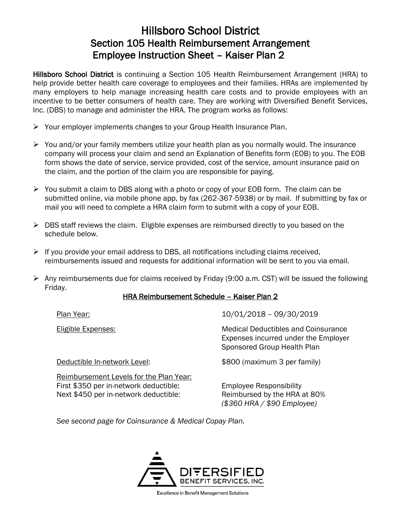## Hillsboro School District Section 105 Health Reimbursement Arrangement Employee Instruction Sheet – Kaiser Plan 2

Hillsboro School District is continuing a Section 105 Health Reimbursement Arrangement (HRA) to help provide better health care coverage to employees and their families. HRAs are implemented by many employers to help manage increasing health care costs and to provide employees with an incentive to be better consumers of health care. They are working with Diversified Benefit Services, Inc. (DBS) to manage and administer the HRA. The program works as follows:

- ➢ Your employer implements changes to your Group Health Insurance Plan.
- $\triangleright$  You and/or your family members utilize your health plan as you normally would. The insurance company will process your claim and send an Explanation of Benefits form (EOB) to you. The EOB form shows the date of service, service provided, cost of the service, amount insurance paid on the claim, and the portion of the claim you are responsible for paying.
- $\triangleright$  You submit a claim to DBS along with a photo or copy of your EOB form. The claim can be submitted online, via mobile phone app, by fax (262-367-5938) or by mail. If submitting by fax or mail you will need to complete a HRA claim form to submit with a copy of your EOB.
- $\triangleright$  DBS staff reviews the claim. Eligible expenses are reimbursed directly to you based on the schedule below.
- ➢ If you provide your email address to DBS, all notifications including claims received, reimbursements issued and requests for additional information will be sent to you via email.
- $\triangleright$  Any reimbursements due for claims received by Friday (9:00 a.m. CST) will be issued the following Friday.

## HRA Reimbursement Schedule – Kaiser Plan 2

Plan Year: 10/01/2018 – 09/30/2019

Eligible Expenses: Medical Deductibles and Coinsurance Expenses incurred under the Employer Sponsored Group Health Plan

Reimbursement Levels for the Plan Year: First \$350 per in-network deductible: Employee Responsibility Next \$450 per in-network deductible: Reimbursed by the HRA at 80%

Deductible In-network Level: \$800 (maximum 3 per family)

*(\$360 HRA / \$90 Employee)*

*See second page for Coinsurance & Medical Copay Plan.*



**Excellence in Benefit Management Solutions**